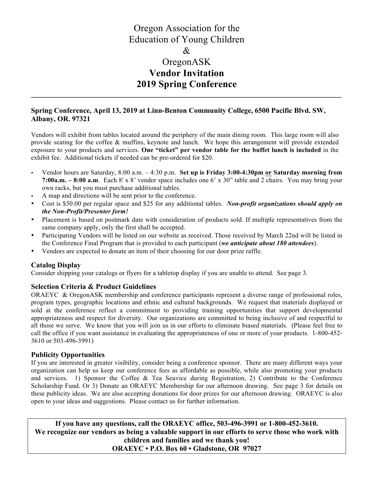## Oregon Association for the Education of Young Children & OregonASK **Vendor Invitation 2019 Spring Conference \_\_\_\_\_\_\_\_\_\_\_\_\_\_\_\_\_\_\_\_\_\_\_\_\_\_\_\_\_\_\_\_\_\_\_\_\_\_\_\_\_\_\_\_\_\_\_\_\_\_\_\_\_\_\_\_\_\_\_\_\_\_\_\_\_\_\_\_\_\_\_\_\_\_\_\_\_\_\_\_\_\_\_\_\_**

### **Spring Conference, April 13, 2019 at Linn-Benton Community College, 6500 Pacific Blvd. SW, Albany, OR. 97321**

Vendors will exhibit from tables located around the periphery of the main dining room. This large room will also provide seating for the coffee & muffins, keynote and lunch. We hope this arrangement will provide extended exposure to your products and services. **One "ticket" per vendor table for the buffet lunch is included** in the exhibit fee. Additional tickets if needed can be pre-ordered for \$20.

- Vendor hours are Saturday, 8:00 a.m. 4:30 p.m. **Set up is Friday 3:00-4:30pm or Saturday morning from 7:00a.m. – 8:00 a.m**. Each 8' x 8' vendor space includes one 6' x 30" table and 2 chairs. You may bring your own racks, but you must purchase additional tables.
- A map and directions will be sent prior to the conference.
- Cost is \$50.00 per regular space and \$25 for any additional tables.*Non-profit organizations should apply on the Non-Profit/Presenter form!*
- Placement is based on postmark date with consideration of products sold. If multiple representatives from the same company apply, only the first shall be accepted.
- Participating Vendors will be listed on our website as received. Those received by March 22nd will be listed in the Conference Final Program that is provided to each participant (*we anticipate about 180 attendees*).
- Vendors are expected to donate an item of their choosing for our door prize raffle.

### **Catalog Display**

Consider shipping your catalogs or flyers for a tabletop display if you are unable to attend. See page 3.

#### **Selection Criteria & Product Guidelines**

ORAEYC & OregonASK membership and conference participants represent a diverse range of professional roles, program types, geographic locations and ethnic and cultural backgrounds. We request that materials displayed or sold at the conference reflect a commitment to providing training opportunities that support developmental appropriateness and respect for diversity. Our organizations are committed to being inclusive of and respectful to all those we serve. We know that you will join us in our efforts to eliminate biased materials. (Please feel free to call the office if you want assistance in evaluating the appropriateness of one or more of your products. 1-800-452- 3610 or 503-496-3991)

#### **Publicity Opportunities**

If you are interested in greater visibility, consider being a conference sponsor. There are many different ways your organization can help us keep our conference fees as affordable as possible, while also promoting your products and services. 1) Sponsor the Coffee & Tea Seuvice during Registration, 2) Contribute to the Conference Scholarship Fund. Or 3) Donate an ORAEYC Membership for our afternoon drawing. See page 3 for details on these publicity ideas. We are also accepting donations for door prizes for our afternoon drawing. ORAEYC is also open to your ideas and suggestions. Please contact us for further information.

**If you have any questions, call the ORAEYC office, 503-496-3991 or 1-800-452-3610. We recognize our vendors as being a valuable support in our efforts to serve those who work with children and families and we thank you! ORAEYC • P.O. Box 60 • Gladstone, OR 97027**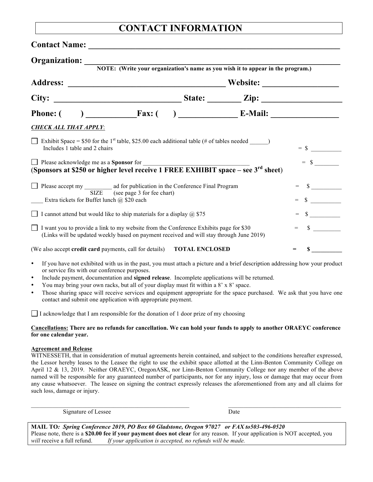# **CONTACT INFORMATION**

| Organization:<br>NOTE: (Write your organization's name as you wish it to appear in the program.)                                                                                           |  |  |  |  |              |
|--------------------------------------------------------------------------------------------------------------------------------------------------------------------------------------------|--|--|--|--|--------------|
|                                                                                                                                                                                            |  |  |  |  |              |
|                                                                                                                                                                                            |  |  |  |  |              |
| <b>Phone:</b> (                                                                                                                                                                            |  |  |  |  |              |
| <b>CHECK ALL THAT APPLY:</b>                                                                                                                                                               |  |  |  |  |              |
| Exhibit Space = \$50 for the 1 <sup>st</sup> table, \$25.00 each additional table (# of tables needed _______)<br>Includes 1 table and 2 chairs                                            |  |  |  |  | $=$ \$       |
| □ Please acknowledge me as a Sponsor for<br>(Sponsors at \$250 or higher level receive 1 FREE EXHIBIT space – see 3 <sup>rd</sup> sheet)                                                   |  |  |  |  |              |
| Please accept my ad for publication in the Conference Final Program<br>SIZE (see page 3 for fee chart)<br>Extra tickets for Buffet lunch $\omega$ \$20 each                                |  |  |  |  | $\mathbb{S}$ |
| I cannot attend but would like to ship materials for a display $\omega$ \$75                                                                                                               |  |  |  |  | $\sim$       |
| I want you to provide a link to my website from the Conference Exhibits page for \$30<br>(Links will be updated weekly based on payment received and will stay through June 2019)          |  |  |  |  | $\mathbb{S}$ |
| (We also accept credit card payments, call for details) TOTAL ENCLOSED                                                                                                                     |  |  |  |  |              |
| If you have not exhibited with us in the past, you must attach a picture and a brief description addressing how your product<br>$\bullet$<br>or service fits with our conference purposes. |  |  |  |  |              |

- Include payment, documentation and **signed release**. Incomplete applications will be returned.
- You may bring your own racks, but all of your display must fit within a 8' x 8' space.
- Those sharing space will receive services and equipment appropriate for the space purchased. We ask that you have one contact and submit one application with appropriate payment.

I acknowledge that I am responsible for the donation of 1 door prize of my choosing

#### **Cancellations: There are no refunds for cancellation. We can hold your funds to apply to another ORAEYC conference for one calendar year.**

#### **Agreement and Release**

WITNESSETH, that in consideration of mutual agreements herein contained, and subject to the conditions hereafter expressed, the Lessor hereby leases to the Leasee the right to use the exhibit space allotted at the Linn-Benton Community College on April 12 & 13, 2019. Neither ORAEYC, OregonASK, nor Linn-Benton Community College nor any member of the above named will be responsible for any guaranteed number of participants, nor for any injury, loss or damage that may occur from any cause whatsoever. The leasee on signing the contract expressly releases the aforementioned from any and all claims for such loss, damage or injury.

 $\_$  , and the state of the state of the state of the state of the state of the state of the state of the state of the state of the state of the state of the state of the state of the state of the state of the state of the

Signature of Lessee Date

**MAIL TO***: Spring Conference 2019, PO Box 60 Gladstone, Oregon 97027 or FAX to503-496-0520* Please note, there is a **\$20.00 fee if your payment does not clear** for any reason. If your application is NOT accepted, you *will* receive a full refund. *If your application is accepted, no refunds will be made.*